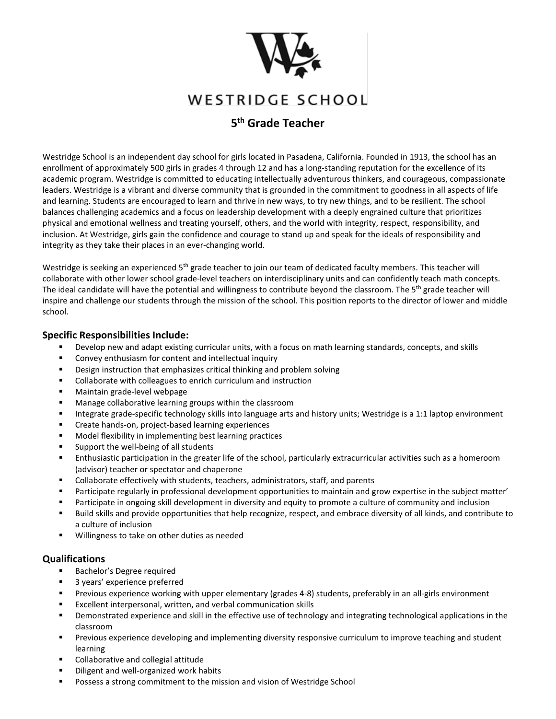

# WESTRIDGE SCHOOL

# **5th Grade Teacher**

Westridge School is an independent day school for girls located in Pasadena, California. Founded in 1913, the school has an enrollment of approximately 500 girls in grades 4 through 12 and has a long-standing reputation for the excellence of its academic program. Westridge is committed to educating intellectually adventurous thinkers, and courageous, compassionate leaders. Westridge is a vibrant and diverse community that is grounded in the commitment to goodness in all aspects of life and learning. Students are encouraged to learn and thrive in new ways, to try new things, and to be resilient. The school balances challenging academics and a focus on leadership development with a deeply engrained culture that prioritizes physical and emotional wellness and treating yourself, others, and the world with integrity, respect, responsibility, and inclusion. At Westridge, girls gain the confidence and courage to stand up and speak for the ideals of responsibility and integrity as they take their places in an ever-changing world.

Westridge is seeking an experienced 5<sup>th</sup> grade teacher to join our team of dedicated faculty members. This teacher will collaborate with other lower school grade-level teachers on interdisciplinary units and can confidently teach math concepts. The ideal candidate will have the potential and willingness to contribute beyond the classroom. The 5<sup>th</sup> grade teacher will inspire and challenge our students through the mission of the school. This position reports to the director of lower and middle school.

#### **Specific Responsibilities Include:**

- Develop new and adapt existing curricular units, with a focus on math learning standards, concepts, and skills
- **EXECONCEY ENTERIST CONTENT** Content and intellectual inquiry
- **•** Design instruction that emphasizes critical thinking and problem solving
- Collaborate with colleagues to enrich curriculum and instruction
- **Maintain grade-level webpage**
- Manage collaborative learning groups within the classroom
- Integrate grade-specific technology skills into language arts and history units; Westridge is a 1:1 laptop environment
- **EXP** Create hands-on, project-based learning experiences
- Model flexibility in implementing best learning practices
- **Support the well-being of all students**
- Enthusiastic participation in the greater life of the school, particularly extracurricular activities such as a homeroom (advisor) teacher or spectator and chaperone
- Collaborate effectively with students, teachers, administrators, staff, and parents
- Participate regularly in professional development opportunities to maintain and grow expertise in the subject matter'
- **Participate in ongoing skill development in diversity and equity to promote a culture of community and inclusion**
- Build skills and provide opportunities that help recognize, respect, and embrace diversity of all kinds, and contribute to a culture of inclusion
- **Willingness to take on other duties as needed**

#### **Qualifications**

- Bachelor's Degree required
- **3 years' experience preferred**
- Previous experience working with upper elementary (grades 4-8) students, preferably in an all-girls environment
- Excellent interpersonal, written, and verbal communication skills
- Demonstrated experience and skill in the effective use of technology and integrating technological applications in the classroom
- **Previous experience developing and implementing diversity responsive curriculum to improve teaching and student** learning
- Collaborative and collegial attitude
- **Diligent and well-organized work habits**
- **POSSESS a strong commitment to the mission and vision of Westridge School**